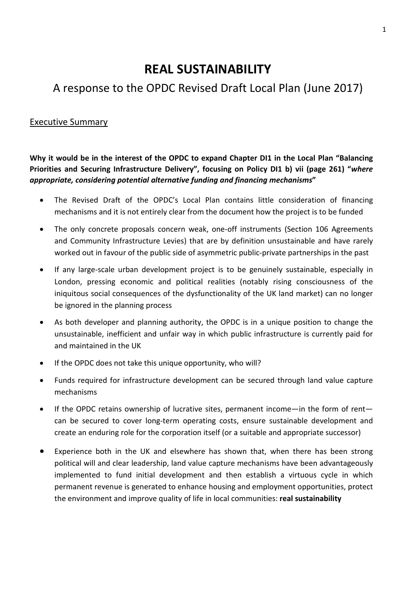# **REAL SUSTAINABILITY**

# A response to the OPDC Revised Draft Local Plan (June 2017)

## Executive Summary

**Why it would be in the interest of the OPDC to expand Chapter DI1 in the Local Plan "Balancing Priorities and Securing Infrastructure Delivery", focusing on Policy DI1 b) vii (page 261) "***where appropriate, considering potential alternative funding and financing mechanisms***"**

- The Revised Draft of the OPDC's Local Plan contains little consideration of financing mechanisms and it is not entirely clear from the document how the project is to be funded
- The only concrete proposals concern weak, one-off instruments (Section 106 Agreements and Community Infrastructure Levies) that are by definition unsustainable and have rarely worked out in favour of the public side of asymmetric public-private partnerships in the past
- If any large-scale urban development project is to be genuinely sustainable, especially in London, pressing economic and political realities (notably rising consciousness of the iniquitous social consequences of the dysfunctionality of the UK land market) can no longer be ignored in the planning process
- As both developer and planning authority, the OPDC is in a unique position to change the unsustainable, inefficient and unfair way in which public infrastructure is currently paid for and maintained in the UK
- If the OPDC does not take this unique opportunity, who will?
- Funds required for infrastructure development can be secured through land value capture mechanisms
- If the OPDC retains ownership of lucrative sites, permanent income—in the form of rent can be secured to cover long-term operating costs, ensure sustainable development and create an enduring role for the corporation itself (or a suitable and appropriate successor)
- Experience both in the UK and elsewhere has shown that, when there has been strong political will and clear leadership, land value capture mechanisms have been advantageously implemented to fund initial development and then establish a virtuous cycle in which permanent revenue is generated to enhance housing and employment opportunities, protect the environment and improve quality of life in local communities: **real sustainability**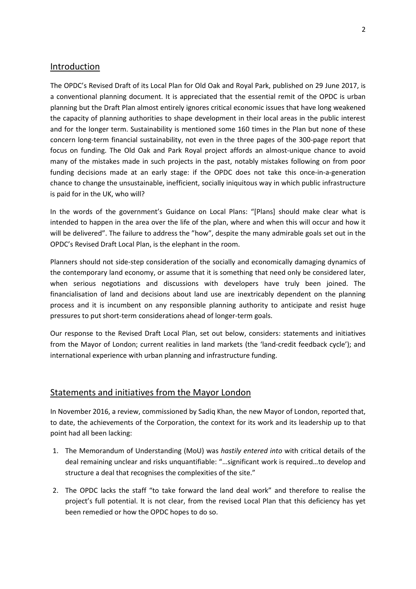### Introduction

The OPDC's Revised Draft of its Local Plan for Old Oak and Royal Park, published on 29 June 2017, is a conventional planning document. It is appreciated that the essential remit of the OPDC is urban planning but the Draft Plan almost entirely ignores critical economic issues that have long weakened the capacity of planning authorities to shape development in their local areas in the public interest and for the longer term. Sustainability is mentioned some 160 times in the Plan but none of these concern long-term financial sustainability, not even in the three pages of the 300-page report that focus on funding. The Old Oak and Park Royal project affords an almost-unique chance to avoid many of the mistakes made in such projects in the past, notably mistakes following on from poor funding decisions made at an early stage: if the OPDC does not take this once-in-a-generation chance to change the unsustainable, inefficient, socially iniquitous way in which public infrastructure is paid for in the UK, who will?

In the words of the government's Guidance on Local Plans: "[Plans] should make clear what is intended to happen in the area over the life of the plan, where and when this will occur and how it will be delivered". The failure to address the "how", despite the many admirable goals set out in the OPDC's Revised Draft Local Plan, is the elephant in the room.

Planners should not side-step consideration of the socially and economically damaging dynamics of the contemporary land economy, or assume that it is something that need only be considered later, when serious negotiations and discussions with developers have truly been joined. The financialisation of land and decisions about land use are inextricably dependent on the planning process and it is incumbent on any responsible planning authority to anticipate and resist huge pressures to put short-term considerations ahead of longer-term goals.

Our response to the Revised Draft Local Plan, set out below, considers: statements and initiatives from the Mayor of London; current realities in land markets (the 'land-credit feedback cycle'); and international experience with urban planning and infrastructure funding.

### Statements and initiatives from the Mayor London

In November 2016, a review, commissioned by Sadiq Khan, the new Mayor of London, reported that, to date, the achievements of the Corporation, the context for its work and its leadership up to that point had all been lacking:

- 1. The Memorandum of Understanding (MoU) was *hastily entered into* with critical details of the deal remaining unclear and risks unquantifiable: "…significant work is required…to develop and structure a deal that recognises the complexities of the site."
- 2. The OPDC lacks the staff "to take forward the land deal work" and therefore to realise the project's full potential. It is not clear, from the revised Local Plan that this deficiency has yet been remedied or how the OPDC hopes to do so.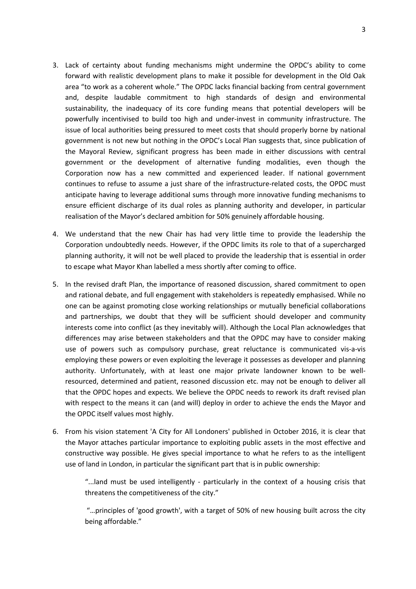- 3. Lack of certainty about funding mechanisms might undermine the OPDC's ability to come forward with realistic development plans to make it possible for development in the Old Oak area "to work as a coherent whole." The OPDC lacks financial backing from central government and, despite laudable commitment to high standards of design and environmental sustainability, the inadequacy of its core funding means that potential developers will be powerfully incentivised to build too high and under-invest in community infrastructure. The issue of local authorities being pressured to meet costs that should properly borne by national government is not new but nothing in the OPDC's Local Plan suggests that, since publication of the Mayoral Review, significant progress has been made in either discussions with central government or the development of alternative funding modalities, even though the Corporation now has a new committed and experienced leader. If national government continues to refuse to assume a just share of the infrastructure-related costs, the OPDC must anticipate having to leverage additional sums through more innovative funding mechanisms to ensure efficient discharge of its dual roles as planning authority and developer, in particular realisation of the Mayor's declared ambition for 50% genuinely affordable housing.
- 4. We understand that the new Chair has had very little time to provide the leadership the Corporation undoubtedly needs. However, if the OPDC limits its role to that of a supercharged planning authority, it will not be well placed to provide the leadership that is essential in order to escape what Mayor Khan labelled a mess shortly after coming to office.
- 5. In the revised draft Plan, the importance of reasoned discussion, shared commitment to open and rational debate, and full engagement with stakeholders is repeatedly emphasised. While no one can be against promoting close working relationships or mutually beneficial collaborations and partnerships, we doubt that they will be sufficient should developer and community interests come into conflict (as they inevitably will). Although the Local Plan acknowledges that differences may arise between stakeholders and that the OPDC may have to consider making use of powers such as compulsory purchase, great reluctance is communicated vis-a-vis employing these powers or even exploiting the leverage it possesses as developer and planning authority. Unfortunately, with at least one major private landowner known to be wellresourced, determined and patient, reasoned discussion etc. may not be enough to deliver all that the OPDC hopes and expects. We believe the OPDC needs to rework its draft revised plan with respect to the means it can (and will) deploy in order to achieve the ends the Mayor and the OPDC itself values most highly.
- 6. From his vision statement 'A City for All Londoners' published in October 2016, it is clear that the Mayor attaches particular importance to exploiting public assets in the most effective and constructive way possible. He gives special importance to what he refers to as the intelligent use of land in London, in particular the significant part that is in public ownership:

"...land must be used intelligently - particularly in the context of a housing crisis that threatens the competitiveness of the city."

"…principles of 'good growth', with a target of 50% of new housing built across the city being affordable."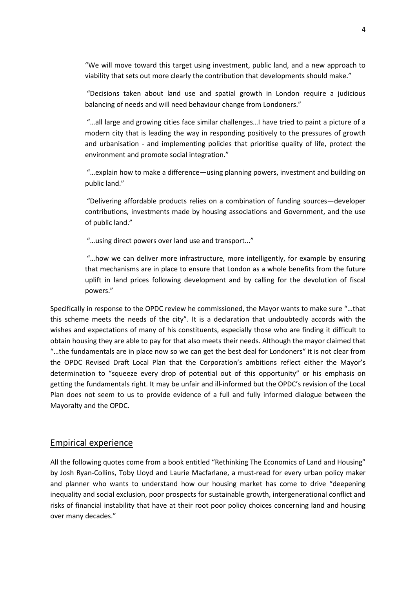"We will move toward this target using investment, public land, and a new approach to viability that sets out more clearly the contribution that developments should make."

"Decisions taken about land use and spatial growth in London require a judicious balancing of needs and will need behaviour change from Londoners."

"…all large and growing cities face similar challenges…I have tried to paint a picture of a modern city that is leading the way in responding positively to the pressures of growth and urbanisation - and implementing policies that prioritise quality of life, protect the environment and promote social integration."

"…explain how to make a difference—using planning powers, investment and building on public land."

"Delivering affordable products relies on a combination of funding sources—developer contributions, investments made by housing associations and Government, and the use of public land."

"…using direct powers over land use and transport..."

"…how we can deliver more infrastructure, more intelligently, for example by ensuring that mechanisms are in place to ensure that London as a whole benefits from the future uplift in land prices following development and by calling for the devolution of fiscal powers."

Specifically in response to the OPDC review he commissioned, the Mayor wants to make sure "…that this scheme meets the needs of the city". It is a declaration that undoubtedly accords with the wishes and expectations of many of his constituents, especially those who are finding it difficult to obtain housing they are able to pay for that also meets their needs. Although the mayor claimed that "…the fundamentals are in place now so we can get the best deal for Londoners" it is not clear from the OPDC Revised Draft Local Plan that the Corporation's ambitions reflect either the Mayor's determination to "squeeze every drop of potential out of this opportunity" or his emphasis on getting the fundamentals right. It may be unfair and ill-informed but the OPDC's revision of the Local Plan does not seem to us to provide evidence of a full and fully informed dialogue between the Mayoralty and the OPDC.

#### Empirical experience

All the following quotes come from a book entitled "Rethinking The Economics of Land and Housing" by Josh Ryan-Collins, Toby Lloyd and Laurie Macfarlane, a must-read for every urban policy maker and planner who wants to understand how our housing market has come to drive "deepening inequality and social exclusion, poor prospects for sustainable growth, intergenerational conflict and risks of financial instability that have at their root poor policy choices concerning land and housing over many decades."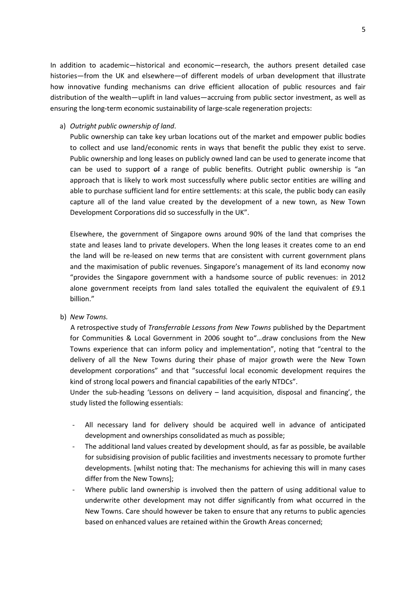In addition to academic—historical and economic—research, the authors present detailed case histories—from the UK and elsewhere—of different models of urban development that illustrate how innovative funding mechanisms can drive efficient allocation of public resources and fair distribution of the wealth—uplift in land values—accruing from public sector investment, as well as ensuring the long-term economic sustainability of large-scale regeneration projects:

#### a) *Outright public ownership of land*.

Public ownership can take key urban locations out of the market and empower public bodies to collect and use land/economic rents in ways that benefit the public they exist to serve. Public ownership and long leases on publicly owned land can be used to generate income that can be used to support of a range of public benefits. Outright public ownership is "an approach that is likely to work most successfully where public sector entities are willing and able to purchase sufficient land for entire settlements: at this scale, the public body can easily capture all of the land value created by the development of a new town, as New Town Development Corporations did so successfully in the UK".

Elsewhere, the government of Singapore owns around 90% of the land that comprises the state and leases land to private developers. When the long leases it creates come to an end the land will be re-leased on new terms that are consistent with current government plans and the maximisation of public revenues. Singapore's management of its land economy now "provides the Singapore government with a handsome source of public revenues: in 2012 alone government receipts from land sales totalled the equivalent the equivalent of £9.1 billion."

b) *New Towns.*

A retrospective study of *Transferrable Lessons from New Towns* published by the Department for Communities & Local Government in 2006 sought to"…draw conclusions from the New Towns experience that can inform policy and implementation", noting that "central to the delivery of all the New Towns during their phase of major growth were the New Town development corporations" and that "successful local economic development requires the kind of strong local powers and financial capabilities of the early NTDCs".

Under the sub-heading 'Lessons on delivery – land acquisition, disposal and financing', the study listed the following essentials:

- All necessary land for delivery should be acquired well in advance of anticipated development and ownerships consolidated as much as possible;
- The additional land values created by development should, as far as possible, be available for subsidising provision of public facilities and investments necessary to promote further developments. [whilst noting that: The mechanisms for achieving this will in many cases differ from the New Towns];
- Where public land ownership is involved then the pattern of using additional value to underwrite other development may not differ significantly from what occurred in the New Towns. Care should however be taken to ensure that any returns to public agencies based on enhanced values are retained within the Growth Areas concerned;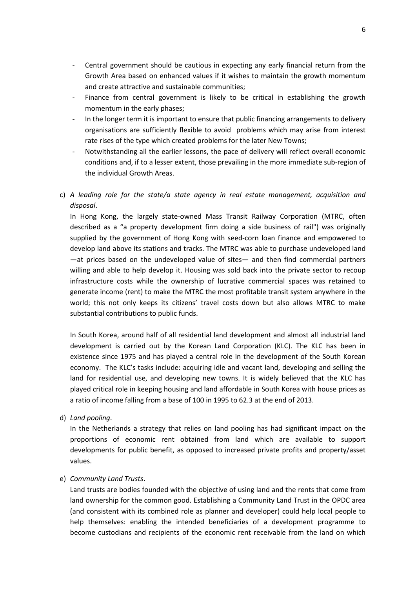- Central government should be cautious in expecting any early financial return from the Growth Area based on enhanced values if it wishes to maintain the growth momentum and create attractive and sustainable communities;
- Finance from central government is likely to be critical in establishing the growth momentum in the early phases;
- In the longer term it is important to ensure that public financing arrangements to delivery organisations are sufficiently flexible to avoid problems which may arise from interest rate rises of the type which created problems for the later New Towns;
- Notwithstanding all the earlier lessons, the pace of delivery will reflect overall economic conditions and, if to a lesser extent, those prevailing in the more immediate sub-region of the individual Growth Areas.
- c) *A leading role for the state/a state agency in real estate management, acquisition and disposal*.

In Hong Kong, the largely state-owned Mass Transit Railway Corporation (MTRC, often described as a "a property development firm doing a side business of rail") was originally supplied by the government of Hong Kong with seed-corn loan finance and empowered to develop land above its stations and tracks. The MTRC was able to purchase undeveloped land —at prices based on the undeveloped value of sites— and then find commercial partners willing and able to help develop it. Housing was sold back into the private sector to recoup infrastructure costs while the ownership of lucrative commercial spaces was retained to generate income (rent) to make the MTRC the most profitable transit system anywhere in the world; this not only keeps its citizens' travel costs down but also allows MTRC to make substantial contributions to public funds.

In South Korea, around half of all residential land development and almost all industrial land development is carried out by the Korean Land Corporation (KLC). The KLC has been in existence since 1975 and has played a central role in the development of the South Korean economy. The KLC's tasks include: acquiring idle and vacant land, developing and selling the land for residential use, and developing new towns. It is widely believed that the KLC has played critical role in keeping housing and land affordable in South Korea with house prices as a ratio of income falling from a base of 100 in 1995 to 62.3 at the end of 2013.

d) *Land pooling*.

In the Netherlands a strategy that relies on land pooling has had significant impact on the proportions of economic rent obtained from land which are available to support developments for public benefit, as opposed to increased private profits and property/asset values.

#### e) *Community Land Trusts*.

Land trusts are bodies founded with the objective of using land and the rents that come from land ownership for the common good. Establishing a Community Land Trust in the OPDC area (and consistent with its combined role as planner and developer) could help local people to help themselves: enabling the intended beneficiaries of a development programme to become custodians and recipients of the economic rent receivable from the land on which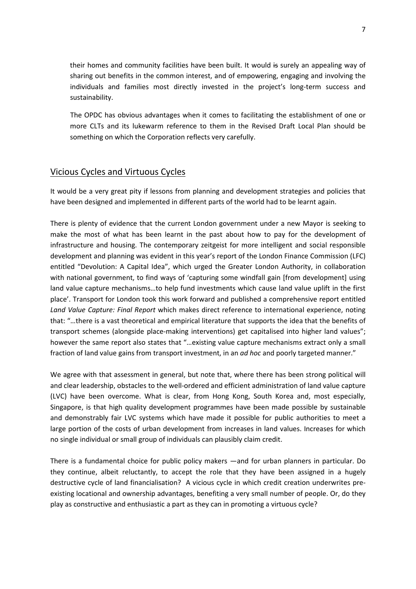their homes and community facilities have been built. It would is surely an appealing way of sharing out benefits in the common interest, and of empowering, engaging and involving the individuals and families most directly invested in the project's long-term success and sustainability.

 The OPDC has obvious advantages when it comes to facilitating the establishment of one or more CLTs and its lukewarm reference to them in the Revised Draft Local Plan should be something on which the Corporation reflects very carefully.

## Vicious Cycles and Virtuous Cycles

It would be a very great pity if lessons from planning and development strategies and policies that have been designed and implemented in different parts of the world had to be learnt again.

There is plenty of evidence that the current London government under a new Mayor is seeking to make the most of what has been learnt in the past about how to pay for the development of infrastructure and housing. The contemporary zeitgeist for more intelligent and social responsible development and planning was evident in this year's report of the London Finance Commission (LFC) entitled "Devolution: A Capital Idea", which urged the Greater London Authority, in collaboration with national government, to find ways of 'capturing some windfall gain [from development] using land value capture mechanisms…to help fund investments which cause land value uplift in the first place'. Transport for London took this work forward and published a comprehensive report entitled *Land Value Capture: Final Report* which makes direct reference to international experience, noting that: "…there is a vast theoretical and empirical literature that supports the idea that the benefits of transport schemes (alongside place-making interventions) get capitalised into higher land values"; however the same report also states that "…existing value capture mechanisms extract only a small fraction of land value gains from transport investment, in an *ad hoc* and poorly targeted manner."

We agree with that assessment in general, but note that, where there has been strong political will and clear leadership, obstacles to the well-ordered and efficient administration of land value capture (LVC) have been overcome. What is clear, from Hong Kong, South Korea and, most especially, Singapore, is that high quality development programmes have been made possible by sustainable and demonstrably fair LVC systems which have made it possible for public authorities to meet a large portion of the costs of urban development from increases in land values. Increases for which no single individual or small group of individuals can plausibly claim credit.

There is a fundamental choice for public policy makers —and for urban planners in particular. Do they continue, albeit reluctantly, to accept the role that they have been assigned in a hugely destructive cycle of land financialisation? A vicious cycle in which credit creation underwrites preexisting locational and ownership advantages, benefiting a very small number of people. Or, do they play as constructive and enthusiastic a part as they can in promoting a virtuous cycle?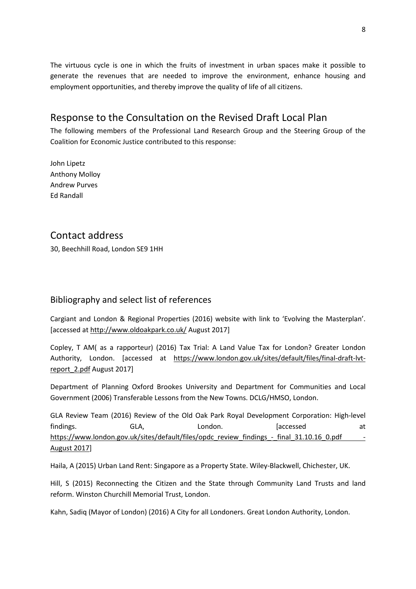The virtuous cycle is one in which the fruits of investment in urban spaces make it possible to generate the revenues that are needed to improve the environment, enhance housing and employment opportunities, and thereby improve the quality of life of all citizens.

# Response to the Consultation on the Revised Draft Local Plan

The following members of the Professional Land Research Group and the Steering Group of the Coalition for Economic Justice contributed to this response:

John Lipetz Anthony Molloy Andrew Purves Ed Randall

## Contact address

30, Beechhill Road, London SE9 1HH

## Bibliography and select list of references

Cargiant and London & Regional Properties (2016) website with link to 'Evolving the Masterplan'. [accessed at<http://www.oldoakpark.co.uk/> August 2017]

Copley, T AM( as a rapporteur) (2016) Tax Trial: A Land Value Tax for London? Greater London Authority, London. [accessed at [https://www.london.gov.uk/sites/default/files/final-draft-lvt](https://www.london.gov.uk/sites/default/files/final-draft-lvt-report_2.pdf)[report\\_2.pdf](https://www.london.gov.uk/sites/default/files/final-draft-lvt-report_2.pdf) August 2017]

Department of Planning Oxford Brookes University and Department for Communities and Local Government (2006) Transferable Lessons from the New Towns. DCLG/HMSO, London.

GLA Review Team (2016) Review of the Old Oak Park Royal Development Corporation: High-level findings. GLA, London. [accessed at [https://www.london.gov.uk/sites/default/files/opdc\\_review\\_findings\\_-\\_final\\_31.10.16\\_0.pdf -](https://www.london.gov.uk/sites/default/files/opdc_review_findings_-_final_31.10.16_0.pdf%20-%20August%202017) [August 2017\]](https://www.london.gov.uk/sites/default/files/opdc_review_findings_-_final_31.10.16_0.pdf%20-%20August%202017)

Haila, A (2015) Urban Land Rent: Singapore as a Property State. Wiley-Blackwell, Chichester, UK.

Hill, S (2015) Reconnecting the Citizen and the State through Community Land Trusts and land reform. Winston Churchill Memorial Trust, London.

Kahn, Sadiq (Mayor of London) (2016) A City for all Londoners. Great London Authority, London.